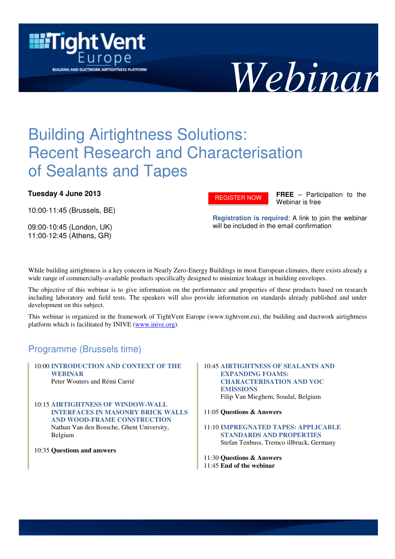



# Building Airtightness Solutions: Recent Research and Characterisation of Sealants and Tapes

### **Tuesday 4 June 2013**

10:00-11:45 (Brussels, BE)

09:00-10:45 (London, UK) 11:00-12:45 (Athens, GR)

[REGISTER NOW](https://inive.webex.com/inive/onstage/g.php?d=708181173&t=a) 

**FREE** – Participation to the Webinar is free

**Registration is required**: A link to join the webinar will be included in the email confirmation

While building airtightness is a key concern in Nearly Zero-Energy Buildings in most European climates, there exists already a wide range of commercially-available products specifically designed to minimize leakage in building envelopes.

The objective of this webinar is to give information on the performance and properties of these products based on research including laboratory and field tests. The speakers will also provide information on standards already published and under development on this subject.

This webinar is organized in the framework of TightVent Europe (www.tightvent.eu), the building and ductwork airtightness platform which is facilitated by INIVE (www.inive.org).

## Programme (Brussels time)

10:00 **INTRODUCTION AND CONTEXT OF THE WEBINAR** Peter Wouters and Rémi Carrié

10:15 **AIRTIGHTNESS OF WINDOW-WALL INTERFACES IN MASONRY BRICK WALLS AND WOOD-FRAME CONSTRUCTION** Nathan Van den Bossche, Ghent University, Belgium

10:35 **Questions and answers**

#### 10:45 **AIRTIGHTNESS OF SEALANTS AND EXPANDING FOAMS: CHARACTERISATION AND VOC EMISSIONS** Filip Van Mieghem, Soudal, Belgium

11:05 **Questions & Answers** 

11:10 **IMPREGNATED TAPES: APPLICABLE STANDARDS AND PROPERTIES** Stefan Tenbuss, Tremco illbruck, Germany

11:30 **Questions & Answers** 11:45 **End of the webinar**